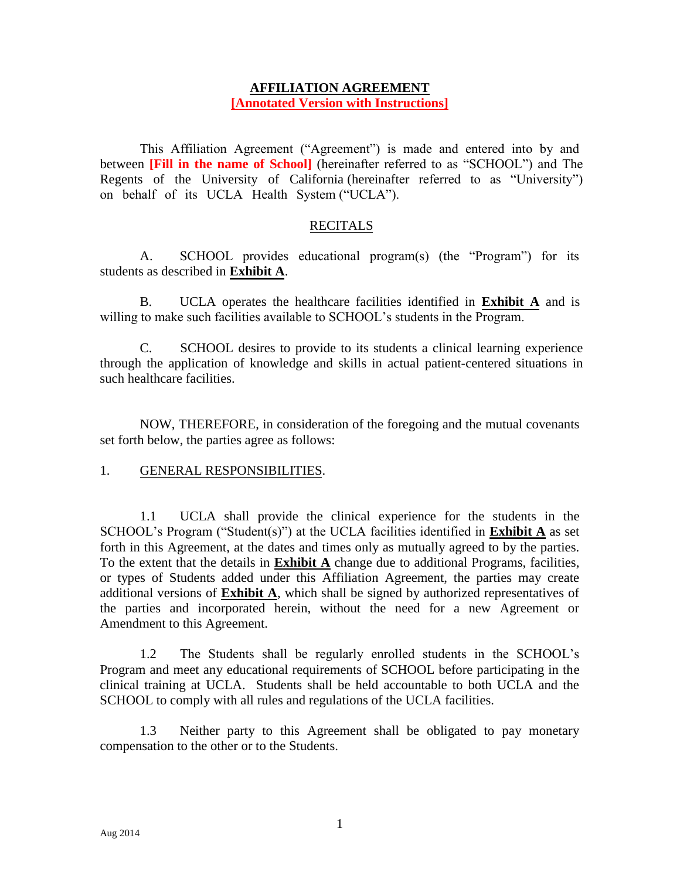## **AFFILIATION AGREEMENT [Annotated Version with Instructions]**

This Affiliation Agreement ("Agreement") is made and entered into by and between **[Fill in the name of School]** (hereinafter referred to as "SCHOOL") and The Regents of the University of California (hereinafter referred to as "University") on behalf of its UCLA Health System ("UCLA").

## RECITALS

A. SCHOOL provides educational program(s) (the "Program") for its students as described in **Exhibit A**.

B. UCLA operates the healthcare facilities identified in **Exhibit A** and is willing to make such facilities available to SCHOOL's students in the Program.

C. SCHOOL desires to provide to its students a clinical learning experience through the application of knowledge and skills in actual patient-centered situations in such healthcare facilities.

NOW, THEREFORE, in consideration of the foregoing and the mutual covenants set forth below, the parties agree as follows:

#### 1. GENERAL RESPONSIBILITIES.

1.1 UCLA shall provide the clinical experience for the students in the SCHOOL's Program ("Student(s)") at the UCLA facilities identified in **Exhibit A** as set forth in this Agreement, at the dates and times only as mutually agreed to by the parties. To the extent that the details in **Exhibit A** change due to additional Programs, facilities, or types of Students added under this Affiliation Agreement, the parties may create additional versions of **Exhibit A**, which shall be signed by authorized representatives of the parties and incorporated herein, without the need for a new Agreement or Amendment to this Agreement.

1.2 The Students shall be regularly enrolled students in the SCHOOL's Program and meet any educational requirements of SCHOOL before participating in the clinical training at UCLA. Students shall be held accountable to both UCLA and the SCHOOL to comply with all rules and regulations of the UCLA facilities.

1.3 Neither party to this Agreement shall be obligated to pay monetary compensation to the other or to the Students.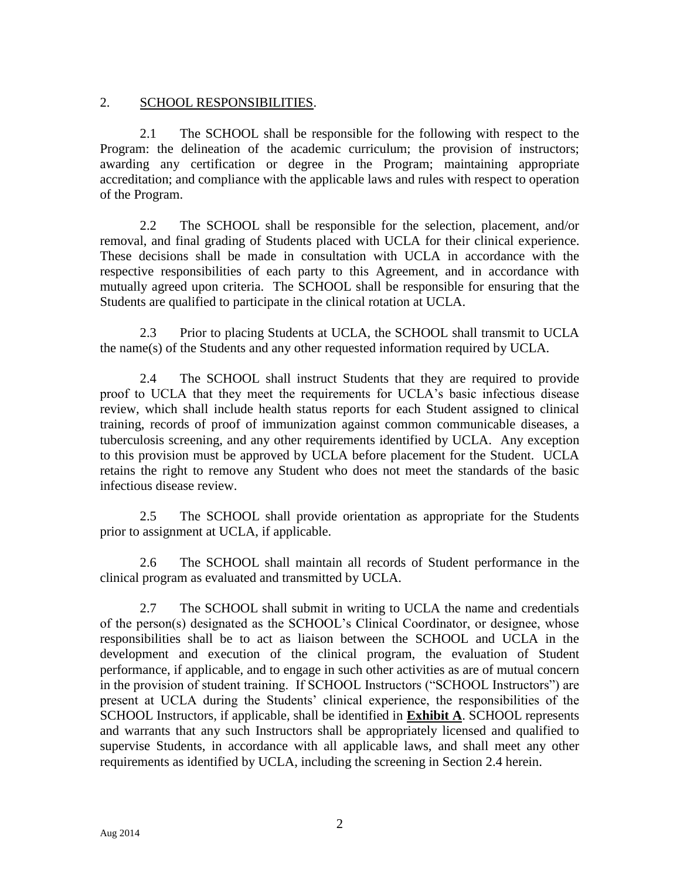## 2. SCHOOL RESPONSIBILITIES.

2.1 The SCHOOL shall be responsible for the following with respect to the Program: the delineation of the academic curriculum; the provision of instructors; awarding any certification or degree in the Program; maintaining appropriate accreditation; and compliance with the applicable laws and rules with respect to operation of the Program.

2.2 The SCHOOL shall be responsible for the selection, placement, and/or removal, and final grading of Students placed with UCLA for their clinical experience. These decisions shall be made in consultation with UCLA in accordance with the respective responsibilities of each party to this Agreement, and in accordance with mutually agreed upon criteria. The SCHOOL shall be responsible for ensuring that the Students are qualified to participate in the clinical rotation at UCLA.

2.3 Prior to placing Students at UCLA, the SCHOOL shall transmit to UCLA the name(s) of the Students and any other requested information required by UCLA.

2.4 The SCHOOL shall instruct Students that they are required to provide proof to UCLA that they meet the requirements for UCLA's basic infectious disease review, which shall include health status reports for each Student assigned to clinical training, records of proof of immunization against common communicable diseases, a tuberculosis screening, and any other requirements identified by UCLA. Any exception to this provision must be approved by UCLA before placement for the Student. UCLA retains the right to remove any Student who does not meet the standards of the basic infectious disease review.

2.5 The SCHOOL shall provide orientation as appropriate for the Students prior to assignment at UCLA, if applicable.

2.6 The SCHOOL shall maintain all records of Student performance in the clinical program as evaluated and transmitted by UCLA.

2.7 The SCHOOL shall submit in writing to UCLA the name and credentials of the person(s) designated as the SCHOOL's Clinical Coordinator, or designee, whose responsibilities shall be to act as liaison between the SCHOOL and UCLA in the development and execution of the clinical program, the evaluation of Student performance, if applicable, and to engage in such other activities as are of mutual concern in the provision of student training. If SCHOOL Instructors ("SCHOOL Instructors") are present at UCLA during the Students' clinical experience, the responsibilities of the SCHOOL Instructors, if applicable, shall be identified in **Exhibit A**. SCHOOL represents and warrants that any such Instructors shall be appropriately licensed and qualified to supervise Students, in accordance with all applicable laws, and shall meet any other requirements as identified by UCLA, including the screening in Section 2.4 herein.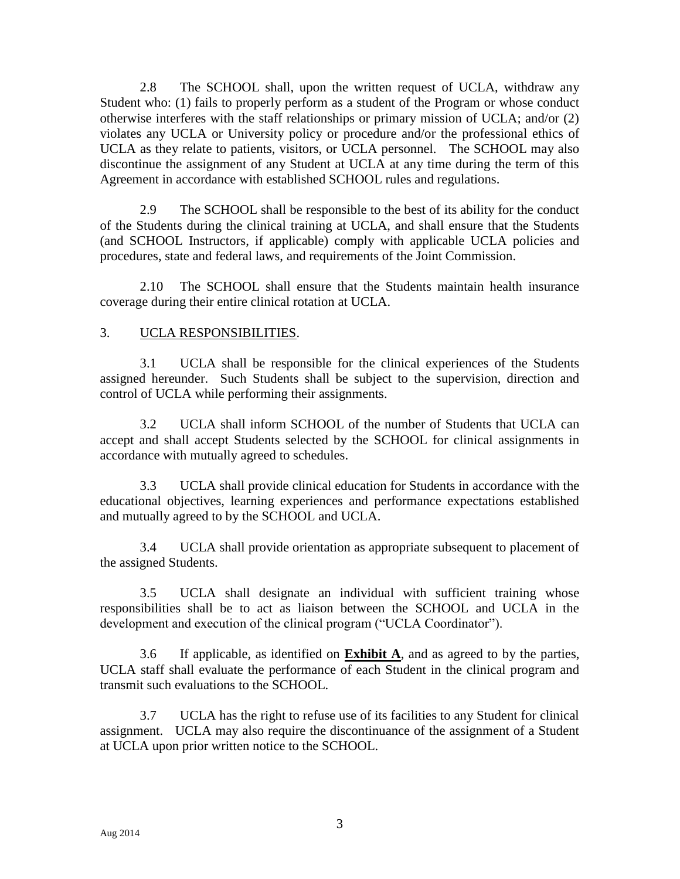2.8 The SCHOOL shall, upon the written request of UCLA, withdraw any Student who: (1) fails to properly perform as a student of the Program or whose conduct otherwise interferes with the staff relationships or primary mission of UCLA; and/or (2) violates any UCLA or University policy or procedure and/or the professional ethics of UCLA as they relate to patients, visitors, or UCLA personnel. The SCHOOL may also discontinue the assignment of any Student at UCLA at any time during the term of this Agreement in accordance with established SCHOOL rules and regulations.

2.9 The SCHOOL shall be responsible to the best of its ability for the conduct of the Students during the clinical training at UCLA, and shall ensure that the Students (and SCHOOL Instructors, if applicable) comply with applicable UCLA policies and procedures, state and federal laws, and requirements of the Joint Commission.

2.10 The SCHOOL shall ensure that the Students maintain health insurance coverage during their entire clinical rotation at UCLA.

## 3. UCLA RESPONSIBILITIES.

3.1 UCLA shall be responsible for the clinical experiences of the Students assigned hereunder. Such Students shall be subject to the supervision, direction and control of UCLA while performing their assignments.

3.2 UCLA shall inform SCHOOL of the number of Students that UCLA can accept and shall accept Students selected by the SCHOOL for clinical assignments in accordance with mutually agreed to schedules.

3.3 UCLA shall provide clinical education for Students in accordance with the educational objectives, learning experiences and performance expectations established and mutually agreed to by the SCHOOL and UCLA.

3.4 UCLA shall provide orientation as appropriate subsequent to placement of the assigned Students.

3.5 UCLA shall designate an individual with sufficient training whose responsibilities shall be to act as liaison between the SCHOOL and UCLA in the development and execution of the clinical program ("UCLA Coordinator").

3.6 If applicable, as identified on **Exhibit A**, and as agreed to by the parties, UCLA staff shall evaluate the performance of each Student in the clinical program and transmit such evaluations to the SCHOOL.

3.7 UCLA has the right to refuse use of its facilities to any Student for clinical assignment. UCLA may also require the discontinuance of the assignment of a Student at UCLA upon prior written notice to the SCHOOL.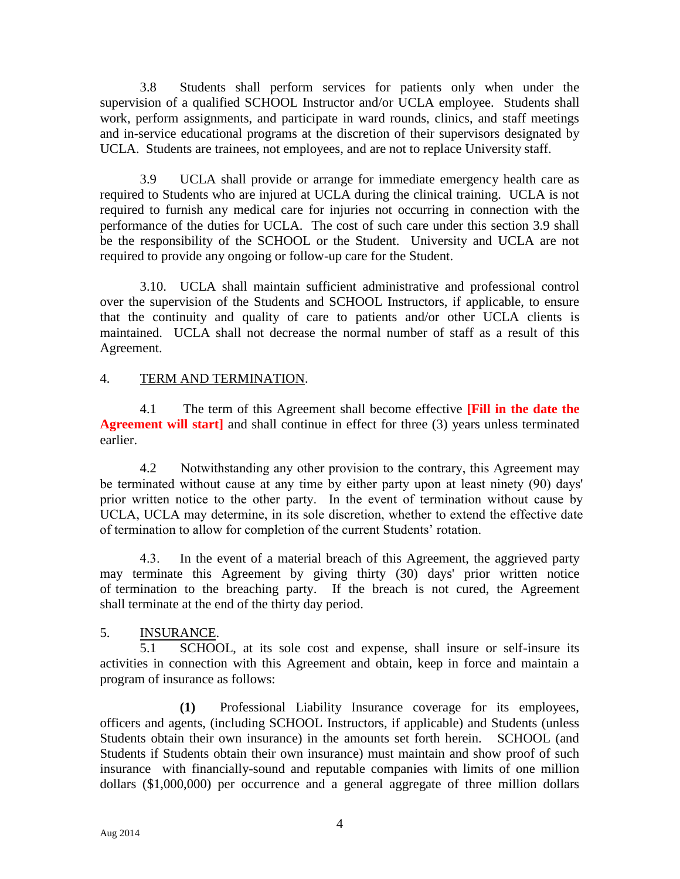3.8 Students shall perform services for patients only when under the supervision of a qualified SCHOOL Instructor and/or UCLA employee. Students shall work, perform assignments, and participate in ward rounds, clinics, and staff meetings and in-service educational programs at the discretion of their supervisors designated by UCLA. Students are trainees, not employees, and are not to replace University staff.

3.9 UCLA shall provide or arrange for immediate emergency health care as required to Students who are injured at UCLA during the clinical training. UCLA is not required to furnish any medical care for injuries not occurring in connection with the performance of the duties for UCLA. The cost of such care under this section 3.9 shall be the responsibility of the SCHOOL or the Student. University and UCLA are not required to provide any ongoing or follow-up care for the Student.

3.10. UCLA shall maintain sufficient administrative and professional control over the supervision of the Students and SCHOOL Instructors, if applicable, to ensure that the continuity and quality of care to patients and/or other UCLA clients is maintained. UCLA shall not decrease the normal number of staff as a result of this Agreement.

## 4. TERM AND TERMINATION.

4.1 The term of this Agreement shall become effective **[Fill in the date the Agreement will start** and shall continue in effect for three (3) years unless terminated earlier.

4.2 Notwithstanding any other provision to the contrary, this Agreement may be terminated without cause at any time by either party upon at least ninety (90) days' prior written notice to the other party. In the event of termination without cause by UCLA, UCLA may determine, in its sole discretion, whether to extend the effective date of termination to allow for completion of the current Students' rotation.

4.3. In the event of a material breach of this Agreement, the aggrieved party may terminate this Agreement by giving thirty (30) days' prior written notice of termination to the breaching party. If the breach is not cured, the Agreement shall terminate at the end of the thirty day period.

# 5. INSURANCE.

5.1 SCHOOL, at its sole cost and expense, shall insure or self-insure its activities in connection with this Agreement and obtain, keep in force and maintain a program of insurance as follows:

**(1)** Professional Liability Insurance coverage for its employees, officers and agents, (including SCHOOL Instructors, if applicable) and Students (unless Students obtain their own insurance) in the amounts set forth herein. SCHOOL (and Students if Students obtain their own insurance) must maintain and show proof of such insurance with financially-sound and reputable companies with limits of one million dollars (\$1,000,000) per occurrence and a general aggregate of three million dollars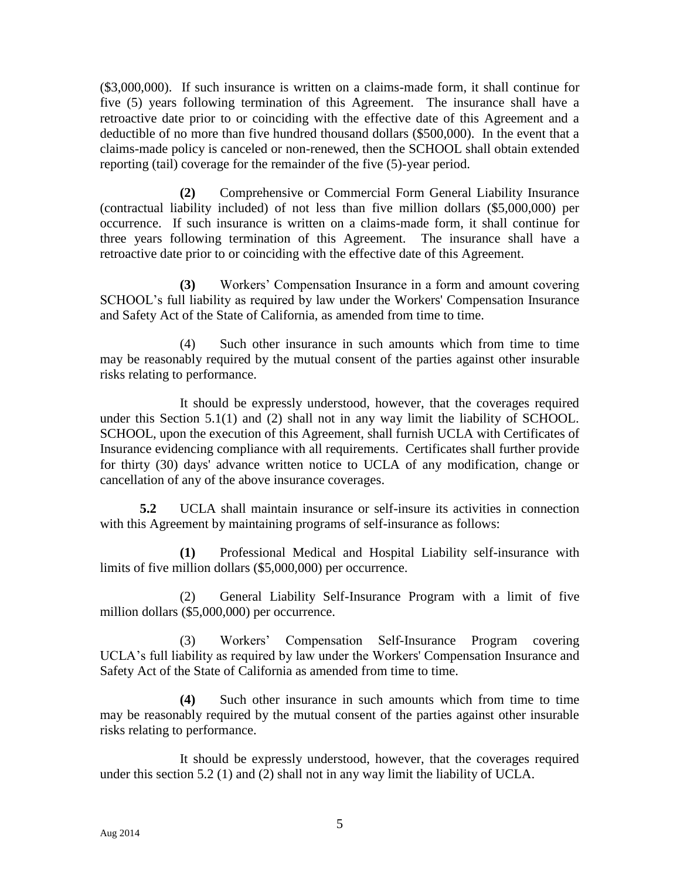(\$3,000,000). If such insurance is written on a claims-made form, it shall continue for five (5) years following termination of this Agreement. The insurance shall have a retroactive date prior to or coinciding with the effective date of this Agreement and a deductible of no more than five hundred thousand dollars (\$500,000). In the event that a claims-made policy is canceled or non-renewed, then the SCHOOL shall obtain extended reporting (tail) coverage for the remainder of the five (5)-year period.

**(2)** Comprehensive or Commercial Form General Liability Insurance (contractual liability included) of not less than five million dollars (\$5,000,000) per occurrence. If such insurance is written on a claims-made form, it shall continue for three years following termination of this Agreement. The insurance shall have a retroactive date prior to or coinciding with the effective date of this Agreement.

**(3)** Workers' Compensation Insurance in a form and amount covering SCHOOL's full liability as required by law under the Workers' Compensation Insurance and Safety Act of the State of California, as amended from time to time.

(4) Such other insurance in such amounts which from time to time may be reasonably required by the mutual consent of the parties against other insurable risks relating to performance.

It should be expressly understood, however, that the coverages required under this Section 5.1(1) and (2) shall not in any way limit the liability of SCHOOL. SCHOOL, upon the execution of this Agreement, shall furnish UCLA with Certificates of Insurance evidencing compliance with all requirements. Certificates shall further provide for thirty (30) days' advance written notice to UCLA of any modification, change or cancellation of any of the above insurance coverages.

**5.2** UCLA shall maintain insurance or self-insure its activities in connection with this Agreement by maintaining programs of self-insurance as follows:

**(1)** Professional Medical and Hospital Liability self-insurance with limits of five million dollars (\$5,000,000) per occurrence.

(2) General Liability Self-Insurance Program with a limit of five million dollars (\$5,000,000) per occurrence.

(3) Workers' Compensation Self-Insurance Program covering UCLA's full liability as required by law under the Workers' Compensation Insurance and Safety Act of the State of California as amended from time to time.

**(4)** Such other insurance in such amounts which from time to time may be reasonably required by the mutual consent of the parties against other insurable risks relating to performance.

It should be expressly understood, however, that the coverages required under this section 5.2 (1) and (2) shall not in any way limit the liability of UCLA.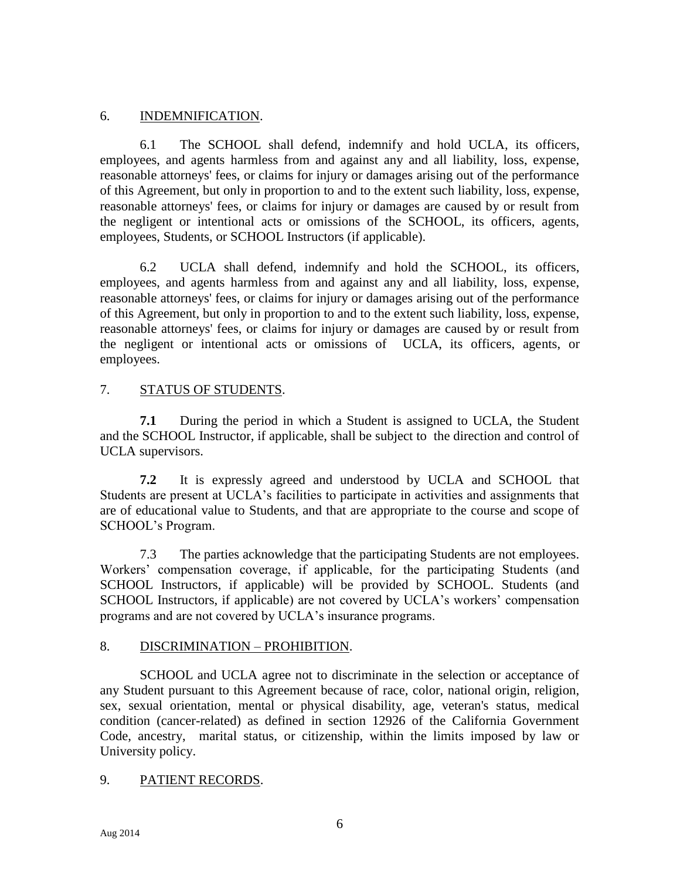## 6. INDEMNIFICATION.

6.1 The SCHOOL shall defend, indemnify and hold UCLA, its officers, employees, and agents harmless from and against any and all liability, loss, expense, reasonable attorneys' fees, or claims for injury or damages arising out of the performance of this Agreement, but only in proportion to and to the extent such liability, loss, expense, reasonable attorneys' fees, or claims for injury or damages are caused by or result from the negligent or intentional acts or omissions of the SCHOOL, its officers, agents, employees, Students, or SCHOOL Instructors (if applicable).

6.2 UCLA shall defend, indemnify and hold the SCHOOL, its officers, employees, and agents harmless from and against any and all liability, loss, expense, reasonable attorneys' fees, or claims for injury or damages arising out of the performance of this Agreement, but only in proportion to and to the extent such liability, loss, expense, reasonable attorneys' fees, or claims for injury or damages are caused by or result from the negligent or intentional acts or omissions of UCLA, its officers, agents, or employees.

# 7. STATUS OF STUDENTS.

**7.1** During the period in which a Student is assigned to UCLA, the Student and the SCHOOL Instructor, if applicable, shall be subject to the direction and control of UCLA supervisors.

**7.2** It is expressly agreed and understood by UCLA and SCHOOL that Students are present at UCLA's facilities to participate in activities and assignments that are of educational value to Students, and that are appropriate to the course and scope of SCHOOL's Program.

7.3 The parties acknowledge that the participating Students are not employees. Workers' compensation coverage, if applicable, for the participating Students (and SCHOOL Instructors, if applicable) will be provided by SCHOOL. Students (and SCHOOL Instructors, if applicable) are not covered by UCLA's workers' compensation programs and are not covered by UCLA's insurance programs.

#### 8. DISCRIMINATION – PROHIBITION.

SCHOOL and UCLA agree not to discriminate in the selection or acceptance of any Student pursuant to this Agreement because of race, color, national origin, religion, sex, sexual orientation, mental or physical disability, age, veteran's status, medical condition (cancer-related) as defined in section 12926 of the California Government Code, ancestry, marital status, or citizenship, within the limits imposed by law or University policy.

# 9. PATIENT RECORDS.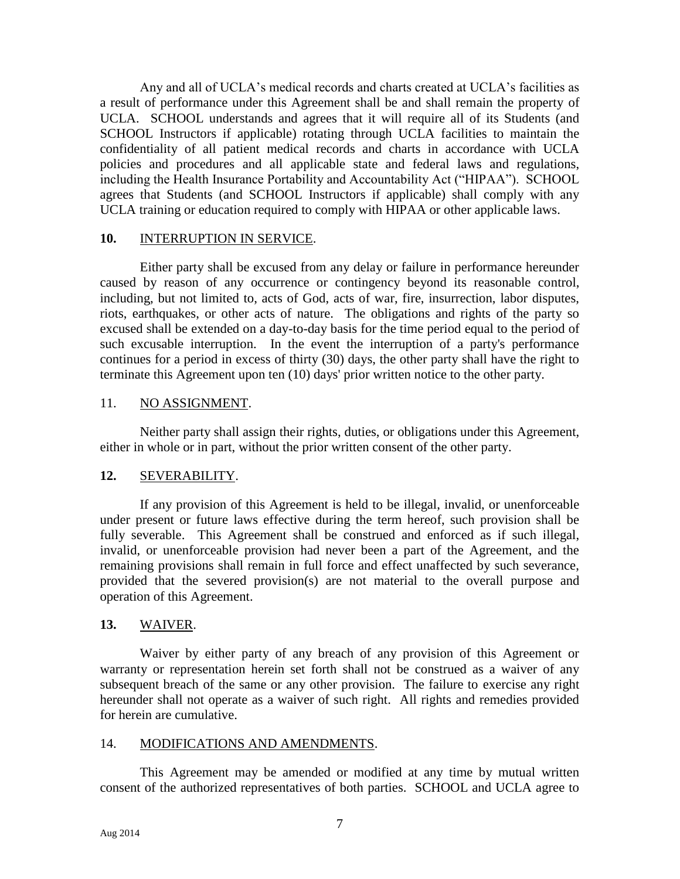Any and all of UCLA's medical records and charts created at UCLA's facilities as a result of performance under this Agreement shall be and shall remain the property of UCLA. SCHOOL understands and agrees that it will require all of its Students (and SCHOOL Instructors if applicable) rotating through UCLA facilities to maintain the confidentiality of all patient medical records and charts in accordance with UCLA policies and procedures and all applicable state and federal laws and regulations, including the Health Insurance Portability and Accountability Act ("HIPAA"). SCHOOL agrees that Students (and SCHOOL Instructors if applicable) shall comply with any UCLA training or education required to comply with HIPAA or other applicable laws.

#### **10.** INTERRUPTION IN SERVICE.

Either party shall be excused from any delay or failure in performance hereunder caused by reason of any occurrence or contingency beyond its reasonable control, including, but not limited to, acts of God, acts of war, fire, insurrection, labor disputes, riots, earthquakes, or other acts of nature. The obligations and rights of the party so excused shall be extended on a day-to-day basis for the time period equal to the period of such excusable interruption. In the event the interruption of a party's performance continues for a period in excess of thirty (30) days, the other party shall have the right to terminate this Agreement upon ten (10) days' prior written notice to the other party.

#### 11. NO ASSIGNMENT.

Neither party shall assign their rights, duties, or obligations under this Agreement, either in whole or in part, without the prior written consent of the other party.

#### **12.** SEVERABILITY.

If any provision of this Agreement is held to be illegal, invalid, or unenforceable under present or future laws effective during the term hereof, such provision shall be fully severable. This Agreement shall be construed and enforced as if such illegal, invalid, or unenforceable provision had never been a part of the Agreement, and the remaining provisions shall remain in full force and effect unaffected by such severance, provided that the severed provision(s) are not material to the overall purpose and operation of this Agreement.

#### **13.** WAIVER.

Waiver by either party of any breach of any provision of this Agreement or warranty or representation herein set forth shall not be construed as a waiver of any subsequent breach of the same or any other provision. The failure to exercise any right hereunder shall not operate as a waiver of such right. All rights and remedies provided for herein are cumulative.

#### 14. MODIFICATIONS AND AMENDMENTS.

This Agreement may be amended or modified at any time by mutual written consent of the authorized representatives of both parties. SCHOOL and UCLA agree to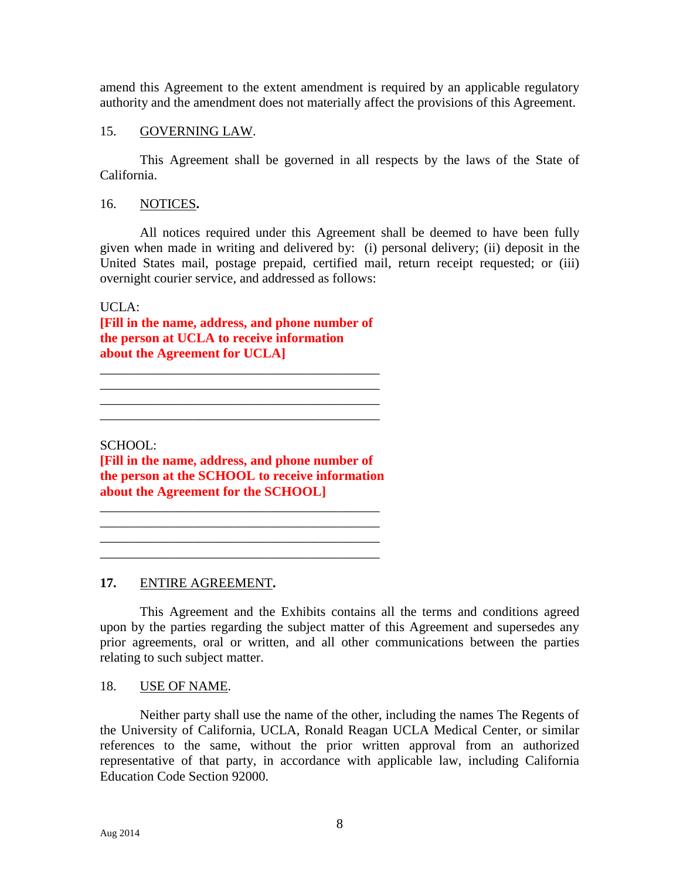amend this Agreement to the extent amendment is required by an applicable regulatory authority and the amendment does not materially affect the provisions of this Agreement.

## 15. GOVERNING LAW.

This Agreement shall be governed in all respects by the laws of the State of California.

## 16. NOTICES**.**

All notices required under this Agreement shall be deemed to have been fully given when made in writing and delivered by: (i) personal delivery; (ii) deposit in the United States mail, postage prepaid, certified mail, return receipt requested; or (iii) overnight courier service, and addressed as follows:

UCLA:

**[Fill in the name, address, and phone number of the person at UCLA to receive information about the Agreement for UCLA]**

\_\_\_\_\_\_\_\_\_\_\_\_\_\_\_\_\_\_\_\_\_\_\_\_\_\_\_\_\_\_\_\_\_\_\_\_\_\_\_\_\_\_ \_\_\_\_\_\_\_\_\_\_\_\_\_\_\_\_\_\_\_\_\_\_\_\_\_\_\_\_\_\_\_\_\_\_\_\_\_\_\_\_\_\_

SCHOOL:

**[Fill in the name, address, and phone number of the person at the SCHOOL to receive information about the Agreement for the SCHOOL]**

\_\_\_\_\_\_\_\_\_\_\_\_\_\_\_\_\_\_\_\_\_\_\_\_\_\_\_\_\_\_\_\_\_\_\_\_\_\_\_\_\_\_ \_\_\_\_\_\_\_\_\_\_\_\_\_\_\_\_\_\_\_\_\_\_\_\_\_\_\_\_\_\_\_\_\_\_\_\_\_\_\_\_\_\_  $\mathcal{L}_\mathcal{L} = \mathcal{L}_\mathcal{L} = \mathcal{L}_\mathcal{L} = \mathcal{L}_\mathcal{L} = \mathcal{L}_\mathcal{L} = \mathcal{L}_\mathcal{L} = \mathcal{L}_\mathcal{L} = \mathcal{L}_\mathcal{L} = \mathcal{L}_\mathcal{L} = \mathcal{L}_\mathcal{L} = \mathcal{L}_\mathcal{L} = \mathcal{L}_\mathcal{L} = \mathcal{L}_\mathcal{L} = \mathcal{L}_\mathcal{L} = \mathcal{L}_\mathcal{L} = \mathcal{L}_\mathcal{L} = \mathcal{L}_\mathcal{L}$ \_\_\_\_\_\_\_\_\_\_\_\_\_\_\_\_\_\_\_\_\_\_\_\_\_\_\_\_\_\_\_\_\_\_\_\_\_\_\_\_\_\_

**17.** ENTIRE AGREEMENT**.**

This Agreement and the Exhibits contains all the terms and conditions agreed upon by the parties regarding the subject matter of this Agreement and supersedes any prior agreements, oral or written, and all other communications between the parties relating to such subject matter.

#### 18. USE OF NAME.

Neither party shall use the name of the other, including the names The Regents of the University of California, UCLA, Ronald Reagan UCLA Medical Center, or similar references to the same, without the prior written approval from an authorized representative of that party, in accordance with applicable law, including California Education Code Section 92000.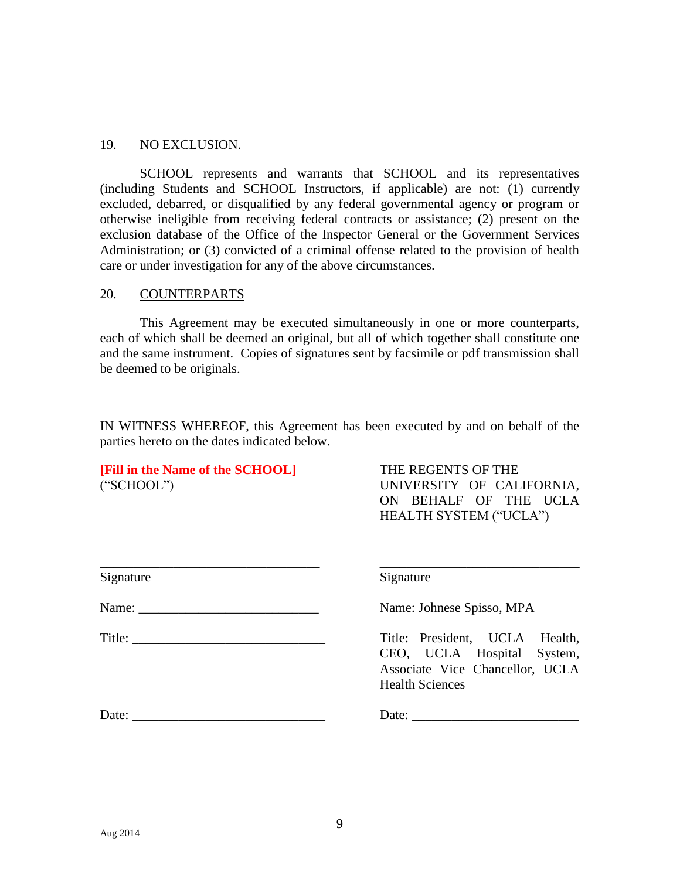#### 19. NO EXCLUSION.

SCHOOL represents and warrants that SCHOOL and its representatives (including Students and SCHOOL Instructors, if applicable) are not: (1) currently excluded, debarred, or disqualified by any federal governmental agency or program or otherwise ineligible from receiving federal contracts or assistance; (2) present on the exclusion database of the Office of the Inspector General or the Government Services Administration; or (3) convicted of a criminal offense related to the provision of health care or under investigation for any of the above circumstances.

#### 20. COUNTERPARTS

This Agreement may be executed simultaneously in one or more counterparts, each of which shall be deemed an original, but all of which together shall constitute one and the same instrument. Copies of signatures sent by facsimile or pdf transmission shall be deemed to be originals.

IN WITNESS WHEREOF, this Agreement has been executed by and on behalf of the parties hereto on the dates indicated below.

**[Fill in the Name of the SCHOOL]** THE REGENTS OF THE

("SCHOOL") UNIVERSITY OF CALIFORNIA, ON BEHALF OF THE UCLA HEALTH SYSTEM ("UCLA")

| Signature | Signature                                                                                                                 |
|-----------|---------------------------------------------------------------------------------------------------------------------------|
|           | Name: Johnese Spisso, MPA                                                                                                 |
|           | Title: President, UCLA Health,<br>CEO, UCLA Hospital System,<br>Associate Vice Chancellor, UCLA<br><b>Health Sciences</b> |
| Date:     | Date:                                                                                                                     |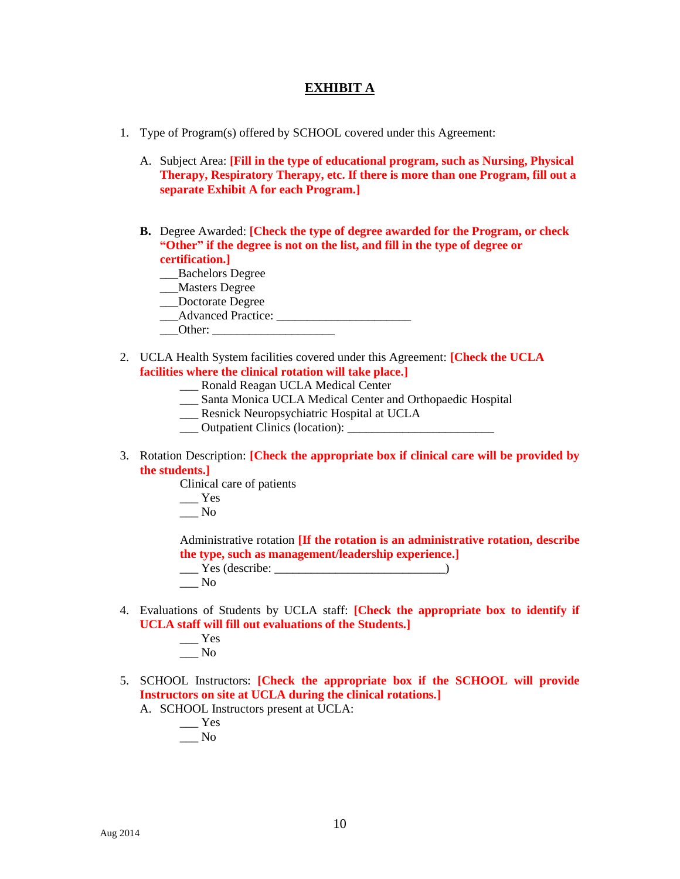## **EXHIBIT A**

- 1. Type of Program(s) offered by SCHOOL covered under this Agreement:
	- A. Subject Area: **[Fill in the type of educational program, such as Nursing, Physical Therapy, Respiratory Therapy, etc. If there is more than one Program, fill out a separate Exhibit A for each Program.]**
	- **B.** Degree Awarded: **[Check the type of degree awarded for the Program, or check "Other" if the degree is not on the list, and fill in the type of degree or certification.]**
		- \_\_\_Bachelors Degree
		- \_\_\_Masters Degree
		- \_\_\_Doctorate Degree
		- \_\_\_Advanced Practice: \_\_\_\_\_\_\_\_\_\_\_\_\_\_\_\_\_\_\_\_\_\_
		- $\blacksquare$  Other:
- 2. UCLA Health System facilities covered under this Agreement: **[Check the UCLA facilities where the clinical rotation will take place.]**
	- \_\_\_ Ronald Reagan UCLA Medical Center
	- \_\_\_ Santa Monica UCLA Medical Center and Orthopaedic Hospital
	- \_\_\_ Resnick Neuropsychiatric Hospital at UCLA
	- \_\_\_ Outpatient Clinics (location): \_\_\_\_\_\_\_\_\_\_\_\_\_\_\_\_\_\_\_\_\_\_\_\_
- 3. Rotation Description: **[Check the appropriate box if clinical care will be provided by the students.]**

Clinical care of patients

- $\_\_\_\$
- \_\_\_ No

Administrative rotation **[If the rotation is an administrative rotation, describe the type, such as management/leadership experience.]**

\_\_\_ Yes (describe: \_\_\_\_\_\_\_\_\_\_\_\_\_\_\_\_\_\_\_\_\_\_\_\_\_\_\_\_) \_\_\_ No

- 4. Evaluations of Students by UCLA staff: **[Check the appropriate box to identify if UCLA staff will fill out evaluations of the Students.]**
	- $\rule{1em}{0.15mm}$  Yes  $\_\_$  No
- 5. SCHOOL Instructors: **[Check the appropriate box if the SCHOOL will provide Instructors on site at UCLA during the clinical rotations.]**

A. SCHOOL Instructors present at UCLA:

 $\_\_\_\$  Yes \_\_\_ No